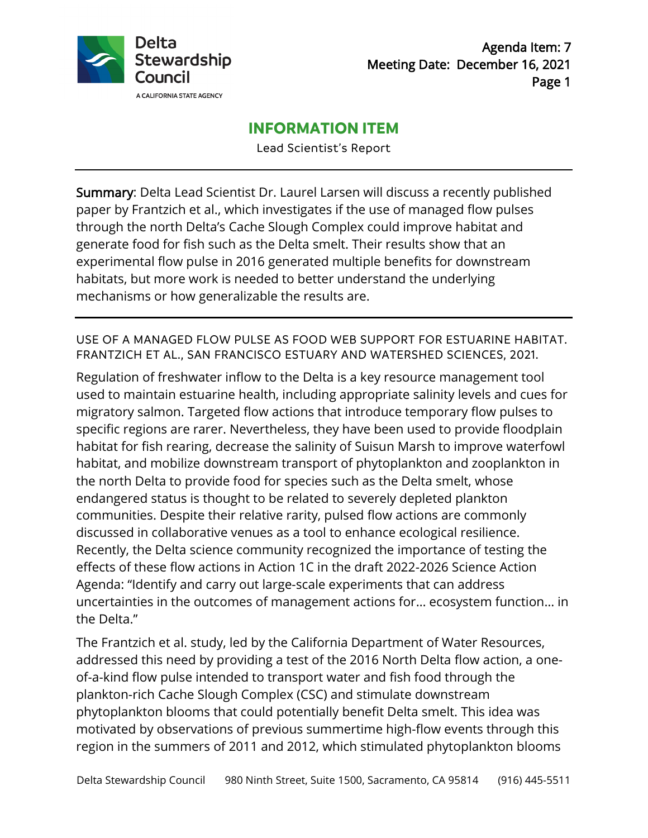

# **INFORMATION ITEM**

Lead Scientist's Report

Summary: Delta Lead Scientist Dr. Laurel Larsen will discuss a recently published paper by Frantzich et al., which investigates if the use of managed flow pulses through the north Delta's Cache Slough Complex could improve habitat and generate food for fish such as the Delta smelt. Their results show that an experimental flow pulse in 2016 generated multiple benefits for downstream habitats, but more work is needed to better understand the underlying mechanisms or how generalizable the results are.

USE OF A MANAGED FLOW PULSE AS FOOD WEB SUPPORT FOR ESTUARINE HABITAT. FRANTZICH ET AL., SAN FRANCISCO ESTUARY AND WATERSHED SCIENCES, 2021.

Regulation of freshwater inflow to the Delta is a key resource management tool used to maintain estuarine health, including appropriate salinity levels and cues for migratory salmon. Targeted flow actions that introduce temporary flow pulses to specific regions are rarer. Nevertheless, they have been used to provide floodplain habitat for fish rearing, decrease the salinity of Suisun Marsh to improve waterfowl habitat, and mobilize downstream transport of phytoplankton and zooplankton in the north Delta to provide food for species such as the Delta smelt, whose endangered status is thought to be related to severely depleted plankton communities. Despite their relative rarity, pulsed flow actions are commonly discussed in collaborative venues as a tool to enhance ecological resilience. Recently, the Delta science community recognized the importance of testing the effects of these flow actions in Action 1C in the draft 2022-2026 Science Action Agenda: "Identify and carry out large-scale experiments that can address uncertainties in the outcomes of management actions for… ecosystem function… in the Delta."

The Frantzich et al. study, led by the California Department of Water Resources, addressed this need by providing a test of the 2016 North Delta flow action, a oneof-a-kind flow pulse intended to transport water and fish food through the plankton-rich Cache Slough Complex (CSC) and stimulate downstream phytoplankton blooms that could potentially benefit Delta smelt. This idea was motivated by observations of previous summertime high-flow events through this region in the summers of 2011 and 2012, which stimulated phytoplankton blooms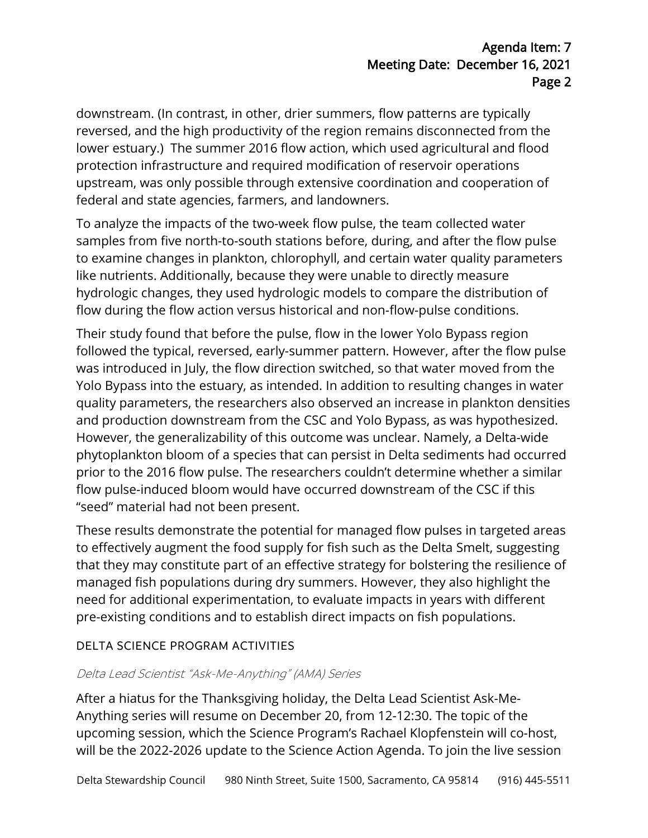downstream. (In contrast, in other, drier summers, flow patterns are typically reversed, and the high productivity of the region remains disconnected from the lower estuary.) The summer 2016 flow action, which used agricultural and flood protection infrastructure and required modification of reservoir operations upstream, was only possible through extensive coordination and cooperation of federal and state agencies, farmers, and landowners.

To analyze the impacts of the two-week flow pulse, the team collected water samples from five north-to-south stations before, during, and after the flow pulse to examine changes in plankton, chlorophyll, and certain water quality parameters like nutrients. Additionally, because they were unable to directly measure hydrologic changes, they used hydrologic models to compare the distribution of flow during the flow action versus historical and non-flow-pulse conditions.

Their study found that before the pulse, flow in the lower Yolo Bypass region followed the typical, reversed, early-summer pattern. However, after the flow pulse was introduced in July, the flow direction switched, so that water moved from the Yolo Bypass into the estuary, as intended. In addition to resulting changes in water quality parameters, the researchers also observed an increase in plankton densities and production downstream from the CSC and Yolo Bypass, as was hypothesized. However, the generalizability of this outcome was unclear. Namely, a Delta-wide phytoplankton bloom of a species that can persist in Delta sediments had occurred prior to the 2016 flow pulse. The researchers couldn't determine whether a similar flow pulse-induced bloom would have occurred downstream of the CSC if this "seed" material had not been present.

These results demonstrate the potential for managed flow pulses in targeted areas to effectively augment the food supply for fish such as the Delta Smelt, suggesting that they may constitute part of an effective strategy for bolstering the resilience of managed fish populations during dry summers. However, they also highlight the need for additional experimentation, to evaluate impacts in years with different pre-existing conditions and to establish direct impacts on fish populations.

### DELTA SCIENCE PROGRAM ACTIVITIES

### Delta Lead Scientist "Ask-Me-Anything" (AMA) Series

After a hiatus for the Thanksgiving holiday, the Delta Lead Scientist Ask-Me-Anything series will resume on December 20, from 12-12:30. The topic of the upcoming session, which the Science Program's Rachael Klopfenstein will co-host, will be the 2022-2026 update to the Science Action Agenda. To join the live session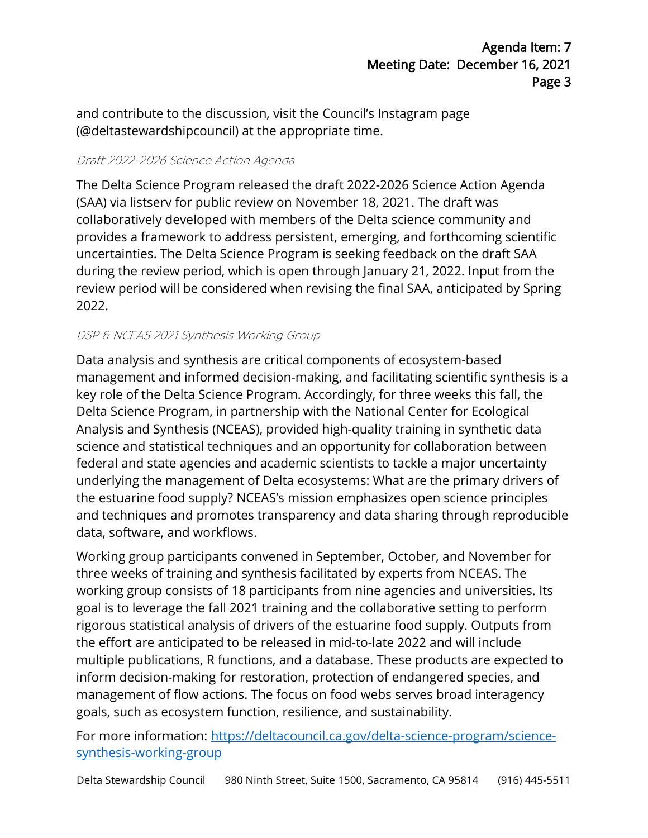and contribute to the discussion, visit the Council's Instagram page (@deltastewardshipcouncil) at the appropriate time.

## Draft 2022-2026 Science Action Agenda

The Delta Science Program released the draft 2022-2026 Science Action Agenda (SAA) via listserv for public review on November 18, 2021. The draft was collaboratively developed with members of the Delta science community and provides a framework to address persistent, emerging, and forthcoming scientific uncertainties. The Delta Science Program is seeking feedback on the draft SAA during the review period, which is open through January 21, 2022. Input from the review period will be considered when revising the final SAA, anticipated by Spring 2022.

## DSP & NCEAS 2021 Synthesis Working Group

Data analysis and synthesis are critical components of ecosystem-based management and informed decision-making, and facilitating scientific synthesis is a key role of the Delta Science Program. Accordingly, for three weeks this fall, the Delta Science Program, in partnership with the National Center for Ecological Analysis and Synthesis (NCEAS), provided high-quality training in synthetic data science and statistical techniques and an opportunity for collaboration between federal and state agencies and academic scientists to tackle a major uncertainty underlying the management of Delta ecosystems: What are the primary drivers of the estuarine food supply? NCEAS's mission emphasizes open science principles and techniques and promotes transparency and data sharing through reproducible data, software, and workflows.

Working group participants convened in September, October, and November for three weeks of training and synthesis facilitated by experts from NCEAS. The working group consists of 18 participants from nine agencies and universities. Its goal is to leverage the fall 2021 training and the collaborative setting to perform rigorous statistical analysis of drivers of the estuarine food supply. Outputs from the effort are anticipated to be released in mid-to-late 2022 and will include multiple publications, R functions, and a database. These products are expected to inform decision-making for restoration, protection of endangered species, and management of flow actions. The focus on food webs serves broad interagency goals, such as ecosystem function, resilience, and sustainability.

For more information: [https://deltacouncil.ca.gov/delta-science-program/science](https://deltacouncil.ca.gov/delta-science-program/science-synthesis-working-group)[synthesis-working-group](https://deltacouncil.ca.gov/delta-science-program/science-synthesis-working-group)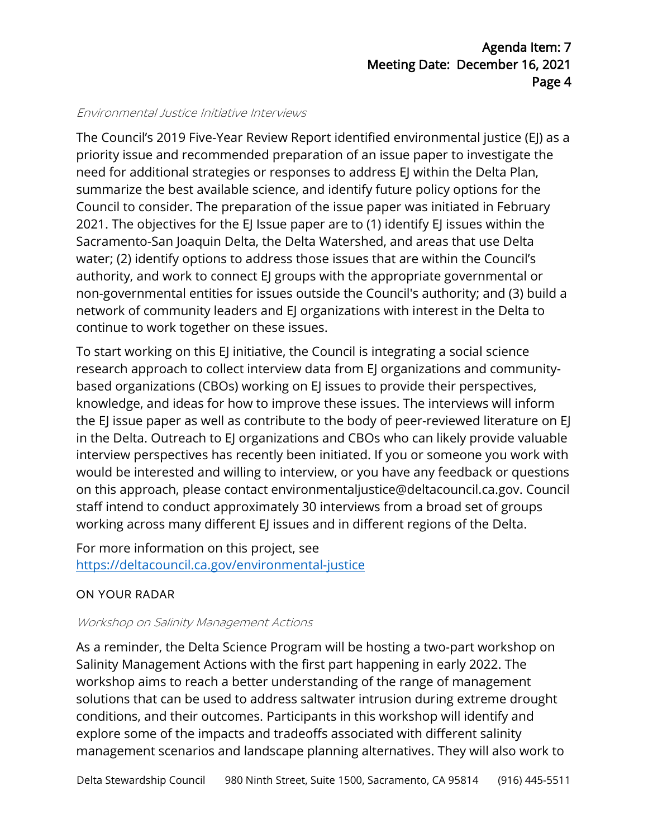#### Environmental Justice Initiative Interviews

The Council's 2019 Five-Year Review Report identified environmental justice (EJ) as a priority issue and recommended preparation of an issue paper to investigate the need for additional strategies or responses to address EJ within the Delta Plan, summarize the best available science, and identify future policy options for the Council to consider. The preparation of the issue paper was initiated in February 2021. The objectives for the EJ Issue paper are to (1) identify EJ issues within the Sacramento-San Joaquin Delta, the Delta Watershed, and areas that use Delta water; (2) identify options to address those issues that are within the Council's authority, and work to connect EJ groups with the appropriate governmental or non-governmental entities for issues outside the Council's authority; and (3) build a network of community leaders and EJ organizations with interest in the Delta to continue to work together on these issues.

To start working on this EJ initiative, the Council is integrating a social science research approach to collect interview data from EJ organizations and communitybased organizations (CBOs) working on EJ issues to provide their perspectives, knowledge, and ideas for how to improve these issues. The interviews will inform the EJ issue paper as well as contribute to the body of peer-reviewed literature on EJ in the Delta. Outreach to EJ organizations and CBOs who can likely provide valuable interview perspectives has recently been initiated. If you or someone you work with would be interested and willing to interview, or you have any feedback or questions on this approach, please contact environmentaljustice@deltacouncil.ca.gov. Council staff intend to conduct approximately 30 interviews from a broad set of groups working across many different EJ issues and in different regions of the Delta.

For more information on this project, see <https://deltacouncil.ca.gov/environmental-justice>

# ON YOUR RADAR

### Workshop on Salinity Management Actions

As a reminder, the Delta Science Program will be hosting a two-part workshop on Salinity Management Actions with the first part happening in early 2022. The workshop aims to reach a better understanding of the range of management solutions that can be used to address saltwater intrusion during extreme drought conditions, and their outcomes. Participants in this workshop will identify and explore some of the impacts and tradeoffs associated with different salinity management scenarios and landscape planning alternatives. They will also work to